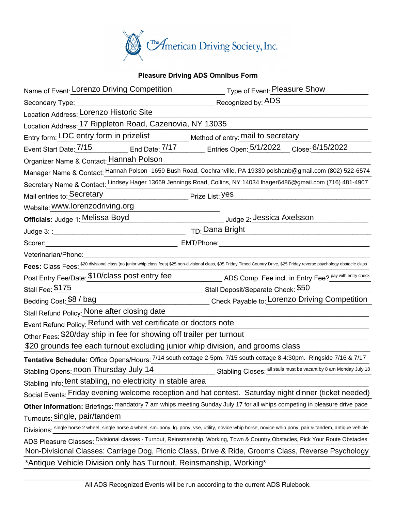

## **Pleasure Driving ADS Omnibus Form**

| Name of Event: Lorenzo Driving Competition                                                                                                                                    | Type of Event: Pleasure Show                                                                                                                                 |
|-------------------------------------------------------------------------------------------------------------------------------------------------------------------------------|--------------------------------------------------------------------------------------------------------------------------------------------------------------|
| Secondary Type:                                                                                                                                                               | Recognized by: ADS                                                                                                                                           |
| Location Address: Lorenzo Historic Site                                                                                                                                       |                                                                                                                                                              |
| Location Address: 17 Rippleton Road, Cazenovia, NY 13035                                                                                                                      |                                                                                                                                                              |
| Entry form: LDC entry form in prizelist                                                                                                                                       | Method of entry: mail to secretary                                                                                                                           |
|                                                                                                                                                                               | Event Start Date: 7/15 End Date: 7/17 Entries Open: 5/1/2022 Close: 6/15/2022                                                                                |
| Organizer Name & Contact: Hannah Polson                                                                                                                                       |                                                                                                                                                              |
| Manager Name & Contact: Hannah Polson -1659 Bush Road, Cochranville, PA 19330 polshanb@gmail.com (802) 522-6574                                                               |                                                                                                                                                              |
|                                                                                                                                                                               | Secretary Name & Contact: Lindsey Hager 13669 Jennings Road, Collins, NY 14034 Ihager6486@gmail.com (716) 481-4907                                           |
| Mail entries to: Secretary                                                                                                                                                    | Prize List: Yes                                                                                                                                              |
| Website: www.lorenzodriving.org                                                                                                                                               |                                                                                                                                                              |
| Officials: Judge 1: Melissa Boyd                                                                                                                                              | Judge 2: Jessica Axelsson                                                                                                                                    |
|                                                                                                                                                                               | <sub>TD:</sub> Dana Bright                                                                                                                                   |
| Scorer:                                                                                                                                                                       | EMT/Phone:                                                                                                                                                   |
| Veterinarian/Phone:                                                                                                                                                           |                                                                                                                                                              |
| Fees: Class Fees: \$20 divisional class (no junior whip class fees) \$25 non-divisional class, \$35 Friday Timed Country Drive, \$25 Friday reverse psychology obstacle class |                                                                                                                                                              |
| Post Entry Fee/Date: \$10/class post entry fee                                                                                                                                | ADS Comp. Fee incl. in Entry Fee? Pay with entry check                                                                                                       |
| Stall Fee: \$175                                                                                                                                                              | ________ Stall Deposit/Separate Check: <mark>\$50</mark>                                                                                                     |
| Bedding Cost: \$8 / bag                                                                                                                                                       | Check Payable to: Lorenzo Driving Competition                                                                                                                |
| Stall Refund Policy: None after closing date                                                                                                                                  |                                                                                                                                                              |
| Event Refund Policy: Refund with vet certificate or doctors note                                                                                                              |                                                                                                                                                              |
| Other Fees: \$20/day ship in fee for showing off trailer per turnout                                                                                                          |                                                                                                                                                              |
| \$20 grounds fee each turnout excluding junior whip division, and grooms class                                                                                                |                                                                                                                                                              |
|                                                                                                                                                                               | Tentative Schedule: Office Opens/Hours: 7/14 south cottage 2-5pm. 7/15 south cottage 8-4:30pm. Ringside 7/16 & 7/17                                          |
| Stabling Opens: noon Thursday July 14                                                                                                                                         | Stabling Closes: all stalls must be vacant by 8 am Monday July 18                                                                                            |
| Stabling Info: tent stabling, no electricity in stable area                                                                                                                   |                                                                                                                                                              |
|                                                                                                                                                                               | Social Events: Friday evening welcome reception and hat contest. Saturday night dinner (ticket needed)                                                       |
|                                                                                                                                                                               | Other Information: Briefings: mandatory 7 am whips meeting Sunday July 17 for all whips competing in pleasure drive pace                                     |
| Turnouts: Single, pair/tandem                                                                                                                                                 |                                                                                                                                                              |
|                                                                                                                                                                               | Divisions: single horse 2 wheel, single horse 4 wheel, sm. pony, Ig. pony, vse, utility, novice whip horse, novice whip pony, pair & tandem, antique vehicle |
|                                                                                                                                                                               | ADS Pleasure Classes: Divisional classes - Turnout, Reinsmanship, Working, Town & Country Obstacles, Pick Your Route Obstacles                               |
|                                                                                                                                                                               | Non-Divisional Classes: Carriage Dog, Picnic Class, Drive & Ride, Grooms Class, Reverse Psychology                                                           |
| *Antique Vehicle Division only has Turnout, Reinsmanship, Working*                                                                                                            |                                                                                                                                                              |